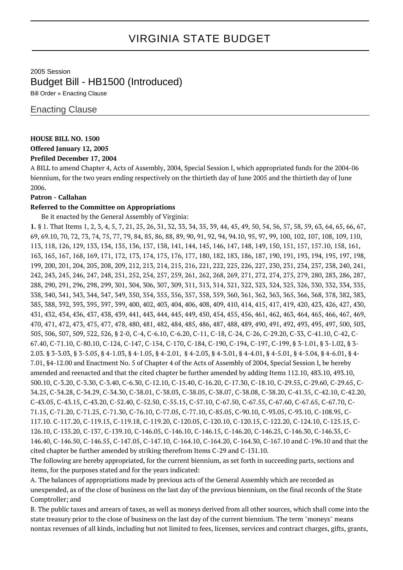# VIRGINIA STATE BUDGET

2005 Session Budget Bill - HB1500 (Introduced)

Bill Order » Enacting Clause

### Enacting Clause

### **HOUSE BILL NO. 1500**

# **Offered January 12, 2005**

## **Prefiled December 17, 2004**

A BILL to amend Chapter 4, Acts of Assembly, 2004, Special Session I, which appropriated funds for the 2004-06 biennium, for the two years ending respectively on the thirtieth day of June 2005 and the thirtieth day of June 2006.

### **Patron - Callahan**

### **Referred to the Committee on Appropriations**

Be it enacted by the General Assembly of Virginia:

**1.** § 1. That Items 1, 2, 3, 4, 5, 7, 21, 25, 26, 31, 32, 33, 34, 35, 39, 44, 45, 49, 50, 54, 56, 57, 58, 59, 63, 64, 65, 66, 67, 69, 69.10, 70, 72, 73, 74, 75, 77, 79, 84, 85, 86, 88, 89, 90, 91, 92, 94, 94.10, 95, 97, 99, 100, 102, 107, 108, 109, 110, 113, 118, 126, 129, 133, 134, 135, 136, 137, 138, 141, 144, 145, 146, 147, 148, 149, 150, 151, 157, 157.10, 158, 161, 163, 165, 167, 168, 169, 171, 172, 173, 174, 175, 176, 177, 180, 182, 183, 186, 187, 190, 191, 193, 194, 195, 197, 198, 199, 200, 201, 204, 205, 208, 209, 212, 213, 214, 215, 216, 221, 222, 225, 226, 227, 230, 231, 234, 237, 238, 240, 241, 242, 243, 245, 246, 247, 248, 251, 252, 254, 257, 259, 261, 262, 268, 269, 271, 272, 274, 275, 279, 280, 283, 286, 287, 288, 290, 291, 296, 298, 299, 301, 304, 306, 307, 309, 311, 313, 314, 321, 322, 323, 324, 325, 326, 330, 332, 334, 335, 338, 340, 341, 343, 344, 347, 349, 350, 354, 355, 356, 357, 358, 359, 360, 361, 362, 363, 365, 366, 368, 378, 382, 383, 385, 388, 392, 393, 395, 397, 399, 400, 402, 403, 404, 406, 408, 409, 410, 414, 415, 417, 419, 420, 423, 426, 427, 430, 431, 432, 434, 436, 437, 438, 439, 441, 443, 444, 445, 449, 450, 454, 455, 456, 461, 462, 463, 464, 465, 466, 467, 469, 470, 471, 472, 473, 475, 477, 478, 480, 481, 482, 484, 485, 486, 487, 488, 489, 490, 491, 492, 493, 495, 497, 500, 503, 505, 506, 507, 509, 522, 526, § 2-0, C-4, C-6.10, C-6.20, C-11, C-18, C-24, C-26, C-29.20, C-33, C-41.10, C-42, C-67.40, C-71.10, C-80.10, C-124, C-147, C-154, C-170, C-184, C-190, C-194, C-197, C-199, § 3-1.01, § 3-1.02, § 3- 2.03. § 3-3.03, § 3-5.05, § 4-1.03, § 4-1.05, § 4-2.01, § 4-2.03, § 4-3.01, § 4-4.01, § 4-5.01, § 4-5.04, § 4-6.01, § 4- 7.01, §4-12.00 and Enactment No. 5 of Chapter 4 of the Acts of Assembly of 2004, Special Session I, be hereby amended and reenacted and that the cited chapter be further amended by adding Items 112.10, 483.10, 493.10, 500.10, C-3.20, C-3.30, C-3.40, C-6.30, C-12.10, C-15.40, C-16.20, C-17.30, C-18.10, C-29.55, C-29.60, C-29.65, C-34.25, C-34.28, C-34.29, C-34.30, C-38.01, C-38.03, C-38.05, C-38.07, C-38.08, C-38.20, C-41.35, C-42.10, C-42.20, C-43.05, C-43.15, C-43.20, C-52.40, C-52.50, C-55.15, C-57.10, C-67.50, C-67.55, C-67.60, C-67.65, C-67.70, C-71.15, C-71.20, C-71.25, C-71.30, C-76.10, C-77.05, C-77.10, C-85.05, C-90.10, C-93.05, C-93.10, C-108.95, C-117.10. C-117.20, C-119.15, C-119.18, C-119.20, C-120.05, C-120.10, C-120.15, C-122.20, C-124.10, C-125.15, C-126.10, C-135.20, C-137, C-139.10, C-146.05, C-146.10, C-146.15, C-146.20, C-146.25, C-146.30, C-146.35, C-146.40, C-146.50, C-146.55, C-147.05, C-147.10, C-164.10, C-164.20, C-164.30, C-167.10 and C-196.10 and that the cited chapter be further amended by striking therefrom Items C-29 and C-131.10. The following are hereby appropriated, for the current biennium, as set forth in succeeding parts, sections and

items, for the purposes stated and for the years indicated:

A. The balances of appropriations made by previous acts of the General Assembly which are recorded as unexpended, as of the close of business on the last day of the previous biennium, on the final records of the State Comptroller; and

B. The public taxes and arrears of taxes, as well as moneys derived from all other sources, which shall come into the state treasury prior to the close of business on the last day of the current biennium. The term "moneys" means nontax revenues of all kinds, including but not limited to fees, licenses, services and contract charges, gifts, grants,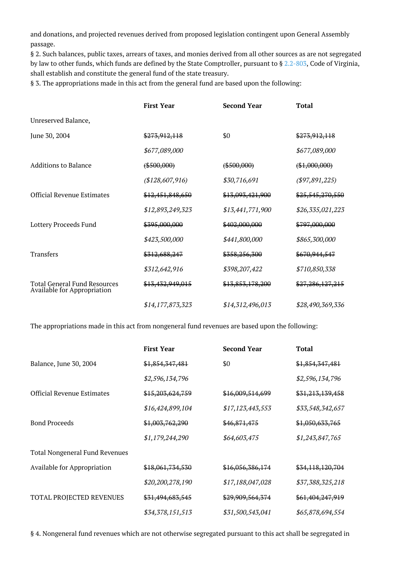and donations, and projected revenues derived from proposed legislation contingent upon General Assembly passage.

§ 2. Such balances, public taxes, arrears of taxes, and monies derived from all other sources as are not segregated by law to other funds, which funds are defined by the State Comptroller, pursuant to § [2.2-803,](http://law.lis.virginia.gov/vacode/2.2-803/) Code of Virginia, shall establish and constitute the general fund of the state treasury.

§ 3. The appropriations made in this act from the general fund are based upon the following:

|                                                             | <b>First Year</b> | <b>Second Year</b> | Total            |
|-------------------------------------------------------------|-------------------|--------------------|------------------|
| Unreserved Balance,                                         |                   |                    |                  |
| June 30, 2004                                               | \$273,912,118     | \$0                | \$273,912,118    |
|                                                             | \$677,089,000     |                    | \$677,089,000    |
| <b>Additions to Balance</b>                                 | $(*500,000)$      | $(*500,000)$       | $(*1,000,000)$   |
|                                                             | (\$128,607,916)   | \$30,716,691       | (\$97,891,225)   |
| <b>Official Revenue Estimates</b>                           | \$12,451,848,650  | \$13,093,421,900   | \$25,545,270,550 |
|                                                             | \$12,893,249,323  | \$13,441,771,900   | \$26,335,021,223 |
| Lottery Proceeds Fund                                       | \$395,000,000     | \$402,000,000      | \$797,000,000    |
|                                                             | \$423,500,000     | \$441,800,000      | \$865,300,000    |
| <b>Transfers</b>                                            | \$312,688,247     | \$358,256,300      | \$670,944,547    |
|                                                             | \$312,642,916     | \$398,207,422      | \$710,850,338    |
| Total General Fund Resources<br>Available for Appropriation | \$13,432,949,015  | \$13,853,178,200   | \$27,286,127,215 |
|                                                             | \$14,177,873,323  | \$14,312,496,013   | \$28,490,369,336 |

The appropriations made in this act from nongeneral fund revenues are based upon the following:

|                                       | <b>First Year</b>           | <b>Second Year</b> | <b>Total</b>     |
|---------------------------------------|-----------------------------|--------------------|------------------|
| Balance, June 30, 2004                | \$1,854,347,481             | \$0                | \$1,854,347,481  |
|                                       | \$2,596,134,796             |                    | \$2,596,134,796  |
| Official Revenue Estimates            | <del>\$15,203,624,759</del> | \$16,009,514,699   | \$31,213,139,458 |
|                                       | \$16,424,899,104            | \$17,123,443,553   | \$33,548,342,657 |
| <b>Bond Proceeds</b>                  | \$1,003,762,290             | \$46,871,475       | \$1,050,633,765  |
|                                       | \$1,179,244,290             | \$64,603,475       | \$1,243,847,765  |
| <b>Total Nongeneral Fund Revenues</b> |                             |                    |                  |
| Available for Appropriation           | \$18,061,734,530            | \$16,056,386,174   | \$34,118,120,704 |
|                                       | \$20,200,278,190            | \$17,188,047,028   | \$37,388,325,218 |
| TOTAL PROJECTED REVENUES              | \$31,494,683,545            | \$29,909,564,374   | \$61,404,247,919 |
|                                       | \$34,378,151,513            | \$31,500,543,041   | \$65,878,694,554 |

§ 4. Nongeneral fund revenues which are not otherwise segregated pursuant to this act shall be segregated in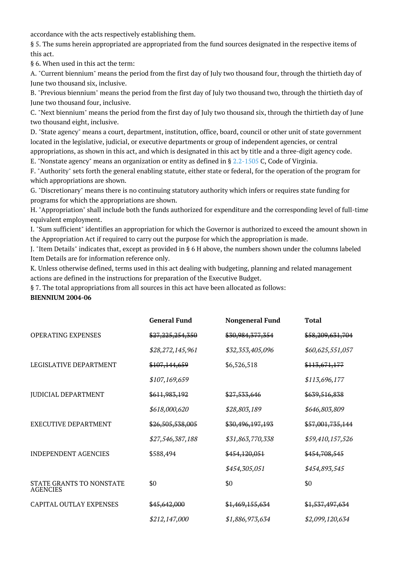accordance with the acts respectively establishing them.

§ 5. The sums herein appropriated are appropriated from the fund sources designated in the respective items of this act.

§ 6. When used in this act the term:

A. "Current biennium" means the period from the first day of July two thousand four, through the thirtieth day of June two thousand six, inclusive.

B. "Previous biennium" means the period from the first day of July two thousand two, through the thirtieth day of June two thousand four, inclusive.

C. "Next biennium" means the period from the first day of July two thousand six, through the thirtieth day of June two thousand eight, inclusive.

D. "State agency" means a court, department, institution, office, board, council or other unit of state government located in the legislative, judicial, or executive departments or group of independent agencies, or central appropriations, as shown in this act, and which is designated in this act by title and a three-digit agency code.

E. "Nonstate agency" means an organization or entity as defined in § [2.2-1505](http://law.lis.virginia.gov/vacode/2.2-1505/) C, Code of Virginia.

F. "Authority" sets forth the general enabling statute, either state or federal, for the operation of the program for which appropriations are shown.

G. "Discretionary" means there is no continuing statutory authority which infers or requires state funding for programs for which the appropriations are shown.

H. "Appropriation" shall include both the funds authorized for expenditure and the corresponding level of full-time equivalent employment.

I. "Sum sufficient" identifies an appropriation for which the Governor is authorized to exceed the amount shown in the Appropriation Act if required to carry out the purpose for which the appropriation is made.

J. "Item Details" indicates that, except as provided in § 6 H above, the numbers shown under the columns labeled Item Details are for information reference only.

K. Unless otherwise defined, terms used in this act dealing with budgeting, planning and related management actions are defined in the instructions for preparation of the Executive Budget.

§ 7. The total appropriations from all sources in this act have been allocated as follows:

**BIENNIUM 2004-06**

|                                             | <b>General Fund</b> | <b>Nongeneral Fund</b> | <b>Total</b>     |
|---------------------------------------------|---------------------|------------------------|------------------|
| <b>OPERATING EXPENSES</b>                   | \$27,225,254,350    | \$30,984,377,354       | \$58,209,631,704 |
|                                             | \$28,272,145,961    | \$32,353,405,096       | \$60,625,551,057 |
| LEGISLATIVE DEPARTMENT                      | \$107,144,659       | \$6,526,518            | \$113,671,177    |
|                                             | \$107,169,659       |                        | \$113,696,177    |
| <b>JUDICIAL DEPARTMENT</b>                  | \$611,983,192       | \$27,533,646           | \$639,516,838    |
|                                             | \$618,000,620       | \$28,803,189           | \$646,803,809    |
| <b>EXECUTIVE DEPARTMENT</b>                 | \$26,505,538,005    | \$30,496,197,193       | \$57,001,735,144 |
|                                             | \$27,546,387,188    | \$31,863,770,338       | \$59,410,157,526 |
| <b>INDEPENDENT AGENCIES</b>                 | \$588,494           | \$454,120,051          | \$454,708,545    |
|                                             |                     | \$454,305,051          | \$454,893,545    |
| STATE GRANTS TO NONSTATE<br><b>AGENCIES</b> | \$0                 | \$0                    | \$0              |
| <b>CAPITAL OUTLAY EXPENSES</b>              | \$45,642,000        | \$1,469,155,634        | \$1,537,497,634  |
|                                             | \$212,147,000       | \$1,886,973,634        | \$2,099,120,634  |